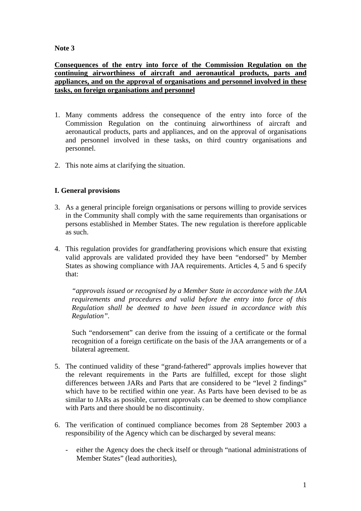## **Note 3**

**Consequences of the entry into force of the Commission Regulation on the continuing airworthiness of aircraft and aeronautical products, parts and appliances, and on the approval of organisations and personnel involved in these tasks, on foreign organisations and personnel**

- 1. Many comments address the consequence of the entry into force of the Commission Regulation on the continuing airworthiness of aircraft and aeronautical products, parts and appliances, and on the approval of organisations and personnel involved in these tasks, on third country organisations and personnel.
- 2. This note aims at clarifying the situation.

## **I. General provisions**

- 3. As a general principle foreign organisations or persons willing to provide services in the Community shall comply with the same requirements than organisations or persons established in Member States. The new regulation is therefore applicable as such.
- 4. This regulation provides for grandfathering provisions which ensure that existing valid approvals are validated provided they have been "endorsed" by Member States as showing compliance with JAA requirements. Articles 4, 5 and 6 specify that:

*"approvals issued or recognised by a Member State in accordance with the JAA requirements and procedures and valid before the entry into force of this Regulation shall be deemed to have been issued in accordance with this Regulation".* 

Such "endorsement" can derive from the issuing of a certificate or the formal recognition of a foreign certificate on the basis of the JAA arrangements or of a bilateral agreement.

- 5. The continued validity of these "grand-fathered" approvals implies however that the relevant requirements in the Parts are fulfilled, except for those slight differences between JARs and Parts that are considered to be "level 2 findings" which have to be rectified within one year. As Parts have been devised to be as similar to JARs as possible, current approvals can be deemed to show compliance with Parts and there should be no discontinuity.
- 6. The verification of continued compliance becomes from 28 September 2003 a responsibility of the Agency which can be discharged by several means:
	- either the Agency does the check itself or through "national administrations of Member States" (lead authorities),